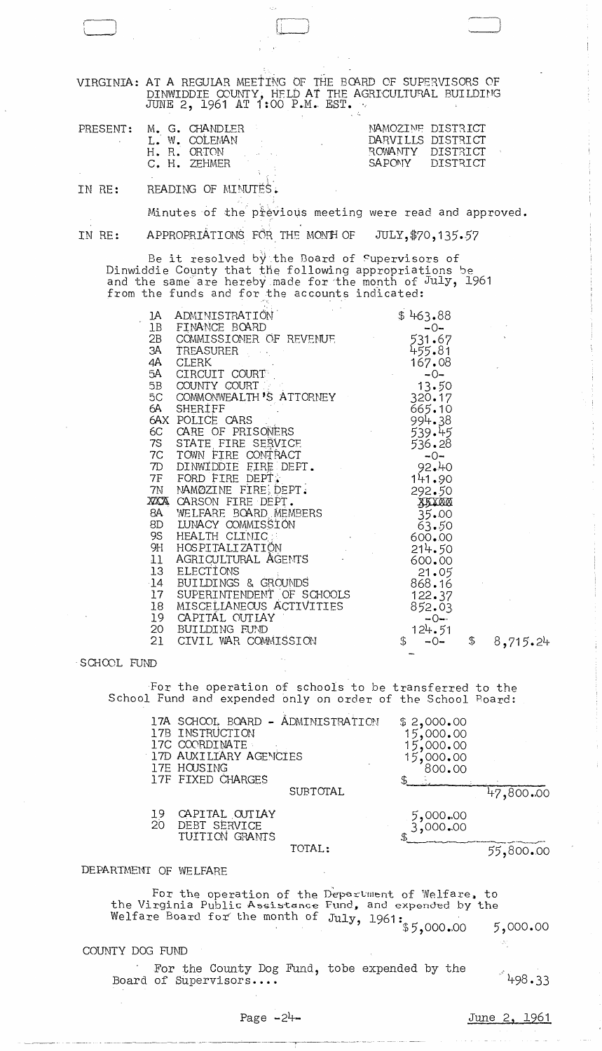VIRGINIA: AT A REGULAR MEETING OF THE BOARD OF SUPERVISORS OF DINWIDDIE COUNTY, HELD AT THE AGRICULTURAL BUILDING<br>JUNE 2, 1961 AT 1:00 P.M. EST.

| PRESENT: | M. G. CHANDLER<br>L. W. COLEMAN<br>H.R. ORTON<br>C. H. ZEHMER | DARVILLS DISTRICT<br>BOWANTY DISTRICT | NAMOZINE DISTRICT<br>SAPONY DISTRICT |
|----------|---------------------------------------------------------------|---------------------------------------|--------------------------------------|
|          |                                                               |                                       |                                      |

READING OF MINUTES. IN RE:

Minutes of the previous meeting were read and approved.

APPROPRIATIONS FOR THE MONTH OF JULY, \$70, 135.57 IN RE:

Be it resolved by the Board of Supervisors of<br>Dinwiddie County that the following appropriations be<br>and the same are hereby made for the month of July, 1961<br>from the funds and for the accounts indicated:

| 1A | ADMINISTRATION                               | \$463.88               |                |
|----|----------------------------------------------|------------------------|----------------|
| 1B | FINANCE BOARD                                | $-0-$                  |                |
|    | 2B COMMISSIONER OF REVENUE                   | 531.67                 |                |
| ЗА | TREASURER                                    | 455.81                 |                |
| 4A | <b>CLERK</b>                                 | 167.08                 |                |
|    | 5A CIRCUIT COURT                             | $-0-$                  |                |
|    | 5B COUNTY COURT                              | 13.50                  |                |
|    | 5C COMMONWEALTH'S ATTORNEY                   | 320.17                 |                |
|    | 6A SHERIFF                                   | 665.10                 |                |
|    | 6AX POLICE CARS                              | 994.38                 |                |
|    | 6C CARE OF PRISONERS                         | 539.45                 |                |
|    | 7S STATE FIRE SERVICE                        | 536.28                 |                |
|    | 7C TOWN FIRE CONTRACT                        |                        |                |
|    | 7D DINWIDDIE FIRE DEPT.                      | $-0$<br>92.40<br>14.11 |                |
|    | 7F FORD FIRE DEPT:                           |                        |                |
|    |                                              | 141.90                 |                |
|    | 7N NAMØZINE FIRE DEPT.                       | 292.50                 |                |
|    | XXXA CARSON FIRE DEPT.                       | <u> FRYWA</u>          |                |
|    | 8A WELFARE BOARD MEMBERS                     | 35.00                  |                |
|    | 8D LUNACY COMMISSION                         | 63.50                  |                |
|    | 9S HEALTH CLINIC                             | 600.00                 |                |
|    | 9H HOSPITALIZATIÖN<br>11 AGRICULTURAL ÄGENTS | 214.50                 |                |
|    |                                              | 600.00                 |                |
|    | 13 ELECTIONS                                 | 21.05                  |                |
|    | 14 BUILDINGS & GROUNDS                       | 868.16                 |                |
|    | 17 SUPERINTENDENT OF SCHOOLS                 | 122.37                 |                |
| 18 | MISCELLANEOUS ACTIVITIES                     | 852.03                 |                |
| 19 | CAPITAL OUTIAY                               | $-0-$                  |                |
|    | 20 BUILDING FUND                             | 124.51                 |                |
| 21 | CIVIL WAR COMMISSION                         | \$<br>$-0-$            | \$<br>8,715.24 |

SCHOOL FUND

For the operation of schools to be transferred to the School Fund and expended only on order of the School Board:

|                 | 17A SCHOOL BOARD - ADMINISTRATION<br>17B INSTRUCTION<br>17C COORDINATE<br>17D AUXILIARY AGENCIES<br>17E HOUSING<br>17F FIXED CHARGES |                 | \$2,000.00<br>15,000,00<br>15,000,00<br>,000.00<br>800.00 |           |
|-----------------|--------------------------------------------------------------------------------------------------------------------------------------|-----------------|-----------------------------------------------------------|-----------|
|                 |                                                                                                                                      | <b>SUBTOTAL</b> |                                                           | 47,800.00 |
| $\frac{19}{20}$ | CAPITAL OUTLAY<br>DEBT SERVICE<br>TUITION GRANTS                                                                                     |                 | 5,000.00<br>3,000.00                                      |           |
|                 |                                                                                                                                      | TOTAL:          |                                                           |           |

### DEPARIMENT OF WELFARE

For the operation of the Department of Welfare, to the Virginia Public Assistance Fund, and expended by the the Virginia ruplic cost come July, 1961:<br>Welfare Board for the month of July, 1961: \$5,000.00

COUNTY DOG FUND

For the County Dog Fund, tobe expended by the Board of Supervisors....

 $498.33$ 

 $5,000.00$ 

 $\frac{1}{2} \frac{1}{2}$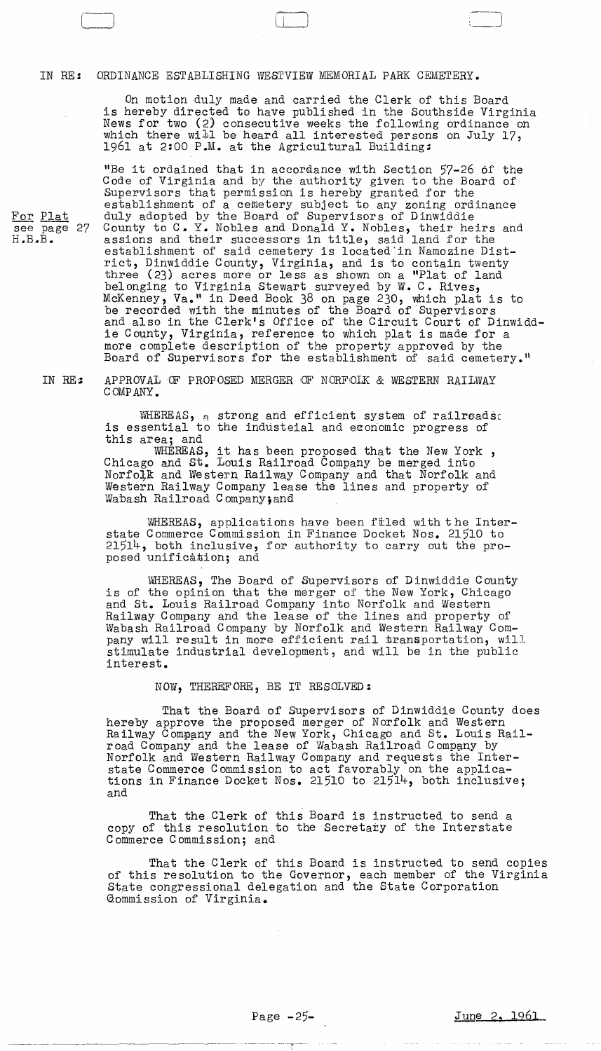#### IN RE: ORDINANCE ESTABLISHING WESTVIEW MEMORIAL PARK CEMETERY.

On motion duly made and carried the Clerk of this Board is hereby directed to have published in the Southside Virginia News for two (2) consecutive weeks the following ordinance on which there will be heard all interested persons on July 17, 1961 at 2:00 P.M. at the Agricultural Building:

"Be it ordained that in accordance with Section 57-26 of the Code of Virginia and by the authority given to the Board of Supervisors that permission is hereby granted for the establishment of a cemetery subject to any zoning ordinance For Plat duly adopted by the Board of Supervisors of Dinwiddie see page 27 County to C. Y. Nobles and Donald Y. Nobles, their heirs and H.B.B. assions and their successors in title, said land for the establishment of said cemetery is located'in Namozine District, Dinwiddie County, Virginia, and is to contain twenty three (23) acres more or less as shown on a "Plat of land belonging to Virginia Stewart surveyed by W. C. Rives, McKenney, Va." in Deed Book 38 on page 230, which plat is to be recorded with the minutes of the Board of 'Supervisors and also in the Clerk's Office of the Circuit Court of Dinwiddie County, Virginia, reference to which plat is made for a more complete description of the property approved by the Board of Supervisors for the establishment of said cemetery."

## IN RE: APPROVAL OF PROPOSED MERGER OF NORFOLK & WESTERN RAILWAY COMPANY.

WHEREAS, a strong and efficient system of railroads: is essential to the industeial and economic progress of this area; and

WHEREAS, it has been proposed that the New York,<br>Chicago and St. Louis Railroad Company be merged into Norfolk and Western Railway Company and that Norfolk and Western Railway Company lease the lines and property of Wabash Railroad Company; and

WHEREAS, applications have been filed with the Interstate Commerce Commission in Finance Docket Nos. 21510 to 21514, both inclusive, for authority to carry out the proposed unification; and

WHEREAS, The Board of Supervisors of Dinwiddie County is of the opinion that the merger of the New York, Chicago and St. Louis Railroad Company into Norfolk and Western Railway Company and the lease of the lines and property of Wabash Railroad Company by Norfolk and Western Railway Company will result in more efficient rail transportation, will stimulate industrial development, and will be in the public interest.

NOW, THEREFORE, BE IT RESOLVED:

That the Board of Supervisors of Dinwiddie County does hereby approve the proposed merger of Norfolk and Western Railway Company and the New York, Chicago and St. Louis Railroad Company and the lease of Wabash Railroad Company by Norfolk and Western Railway Company and requests the Interstate Commerce Commission to act favorably on the applications in Finance Docket Nos. 21510 to 21514, both inclusive; and

That the Clerk of this Board is instructed to send a copy of this resolution to the Secretary of the Interstate Commerce Commission; and

That the Clerk of this Boand is instructed to send copies of this resolution to the Governor, each member of the Virginia State congressional delegation and the State Corporation aommission of Virginia.

-------- --,.~-..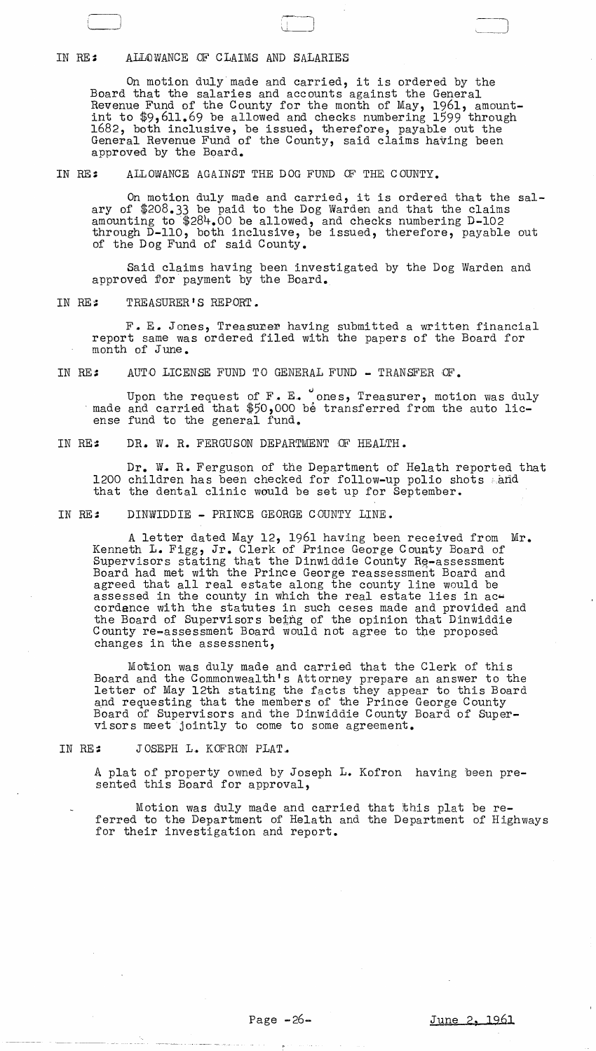# IN RE: ALLOWANCE OF CLAIMS AND SALARIES

On motion duly made and carried, it is ordered by the Board that the salaries and accounts against the General Revenue Fund of the County for the month of May, 1961, amountint to \$9,611.69 be allowed and checks numbering 1599 through 1682, both inclusive, be issued, therefore, payable out the General Revenue Fund of the County, said claims having been approved by the Board.

IN RE: ALLOWANCE AGAINST THE DOG FUND OF THE COUNTY.

On motion duly made and carried, it is ordered that the salary of \$208.33 be paid to the Dog Warden and that the claims amounting to \$284.00 be allOWed, and checks numbering D-I02 through D-IIO, both inclusive, be issued, therefore, payable out of the Dog Fund of said County.

Said claims having been investigated by the Dog Warden and approved for payment by the Board.

IN RE: TREASURER'S REPORT.

F. E. Jones, Treasurer having submitted a written financial report same was ordered filed with the papers of the Board for month of June.

IN RE: AUTO LICENSE FUND TO GENERAL FUND - TRANSFER OF.

Upon the request of F. E. ones, Treasurer, motion was duly made and carried that \$50,000 be transferred from the auto license fund to the general fund.

IN RE: DR. W. R. FERGUSON DEPARTMENT OF HEALTH.

Dr. W. R. Ferguson of the Department of Helath reported that 1200 children has been checked for follow-up polio shots and that the dental clinic would be set up for September.

IN RE: DINWIDDIE - PRINCE GEORGE COUNTY LINE.

A letter dated May 12, 1961 having been received from Mr. Kenneth L. Figg, Jr. Clerk of Prince George County Board of Supervisors stating that the Dinwiddie County  $R_{\text{g}-\text{assessment}}$ Board had met with the Prince George reassessment Board and agreed that all real estate along the county line would be assessed in the county in which the real estate lies in accordance with the statutes in such ceses made and provided and the Board of Supervisors being of the opinion that Dinwiddie County re-assessment Board would not agree to the proposed changes in the assessnent,

Motion was duly made and carried that the Clerk of this Board and the Commonwealth's Attorney prepare an answer to the letter of May 12th stating the facts they appear to this Board and requesting that the members of the Prince George County Board of Supervisors and the Dinwiddie County Board of Supervi sor s meet jointly to come to some agreement.

IN RE: JOSEPH L. KOFRON PLAT.

A plat of property owned by Joseph L. Kofron having been presented this Board for approval,

Motion was duly made and carried that this plat be referred to the Department of Helath and the Department of Highways for their investigation and report.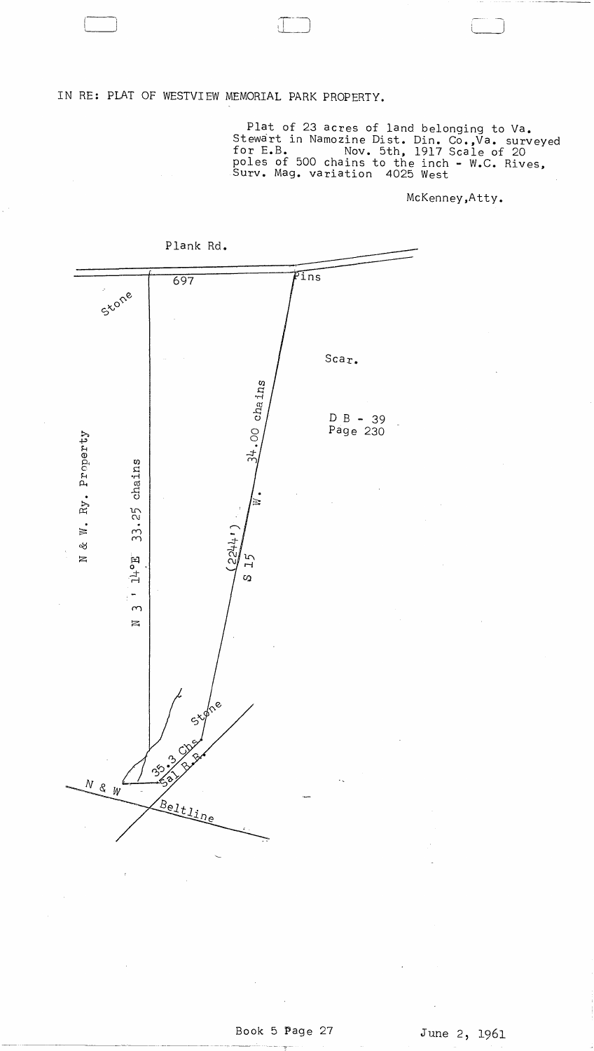IN RE: PLAT OF WESTVIEW MEMORIAL PARK PROPERTY.

Plat of 23 acres of land belonging to Va.<br>Stewart in Namozine Dist. Din. Co., Va. surveyed<br>for E.B. Mov. 5th, 1917 Scale of 20<br>poles of 500 chains to the inch - W.C. Rives,<br>Surv. Mag. variation 4025 West

McKenney, Atty.



Plank Rd.

 $\mathcal{L}(\mathcal{A})$  and  $\mathcal{L}(\mathcal{A})$  $\mathcal{L}^{\text{max}}_{\text{max}}$  ,  $\mathcal{L}^{\text{max}}_{\text{max}}$ 

 $\sim 10^{-11}$ 

 $\mathcal{A}^{\text{max}}$ 

 $\mathcal{L}^{\text{max}}$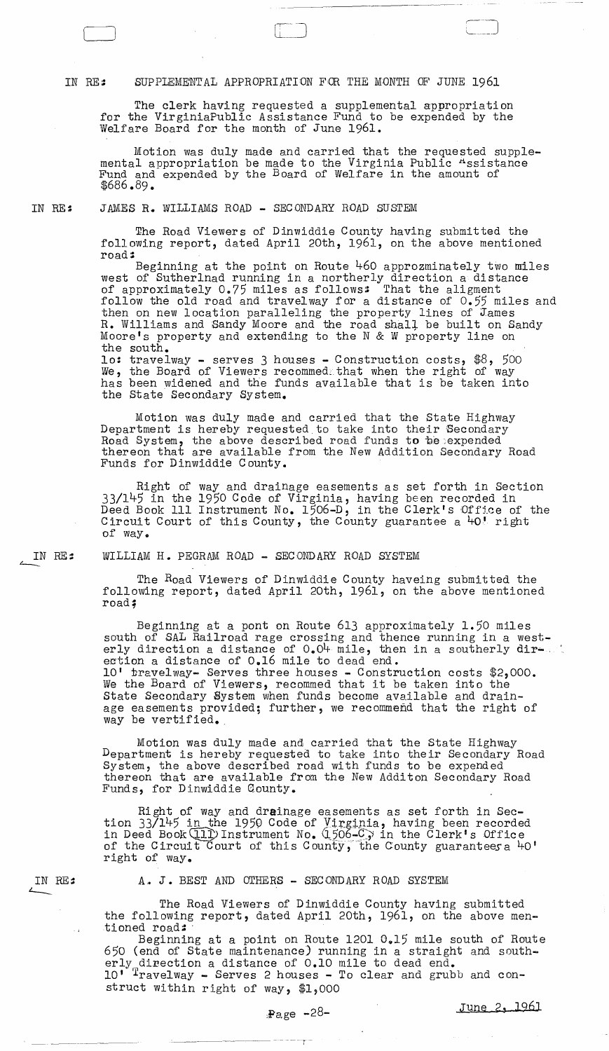# IN RE: SUPPIEMENTAL APPROPRIATION FOR THE MONTH OF JUNE 1961

The clerk having requested a supplemental appropriation for the VirginiaPublic Assistance Fund to be expended by the Welfare Board for the month of June 1961.

Motion was duly made and carried that the requested supplemental appropriation be made to the Virginia Public Assistance Fund and expended by the Board of Welfare in the amount of \$686.89.

 $\Box$ '----.----

IN RE: JAMES R. WILLIAMS ROAD - SECONDARY ROAD SUSTEM

> The Road Viewers of Dinwiddie County having submitted the following report, dated April 20th, 1961, on the above mentioned road::

Beginning at the point on Route 460 approzminately two miles west of Sutherlnad running in a northerly direction a distance of approximately 0.75 miles as follows: That the aligment follow the old road and travelway for a distance of 0.55 miles and then on new location paralleling the property lines of James R. Williams and Sandy Moore and the road shaLl. be built on Sandy Moore's property and extending to the N & W property line on the south.

10: travelway - serves 3 houses - Construction costs,  $$8$ ,  $500$ We, the Board of Viewers recommedathat when the right of way has been widened and the funds available that is be taken into the state Secondary System.

Motion was duly made and carried that the State HighwaY Department is hereby requested to take into their Secondary Road System, the above described road funds to be expended thereon that are available from the New Addition Secondary Road Funds for Dinwiddie County.

Right of way and drainage easements as set forth in Section 33/145 in the 1950 Code of Virginia, having been recorded in Deed Book 111 Instrument No. 1506-D, in the Clerk's Office of the Circuit Court of this County, the County guarantee a 40' right of way.

IN RE::  $\leftharpoonup$ WILLIAM H. PEGRAM ROAD - SECONDARY ROAD SYSTEM

> The Road Viewers of Dinwiddie County haveing submitted the following report, dated April 20th, 1961, on the above mentioned road;

Beginning at a pont on Route 613 approximately 1.50 miles south of SAL Railroad rage crossing and thence running in a westerly direction a distance of  $0.04$  mile, then in a southerly dir- ...  $10'$  travelway- Serves three houses - Construction costs \$2,000. We the Board of Viewers, recommed that it be taken into the state Secondary System when funds become available and drainage easements provided; further, we recommend that the right of way be vertified.

Motion was duly made and carried that the State Highway Department is hereby requested to take into their Secondary Road System, the above described road with funds to be expended thereon that are available from the New Additon Secondary Road Funds, for Dinwiddie County.

Right of way and drainage easements as set forth in Section  $33/145$  in the 1950 Code of Virginia, having been recorded in Deed Book(11) Instrument No. (1506-C) in the Clerk's Office of the Circuit Court of this County, the County guarantees a 40' right of way.

A. J. BEST AND OTHERS - SECONDARY ROAD SYSTEM

The Road Viewers of Dinwiddie County having submitted the following report, dated April 20th, 1961, on the above men-<br>tioned road:

Beginning at a point on Route 1201  $0.15$  mile south of Route 650 (end of State maintenance) running in a straight and southerly direction a distance of 0.10 mile to dead end. 10' Travelway - Serves 2 houses - To clear and grubb and construct within right of way, \$1,000

IN RE::

 $\sim 7$ 

 $-$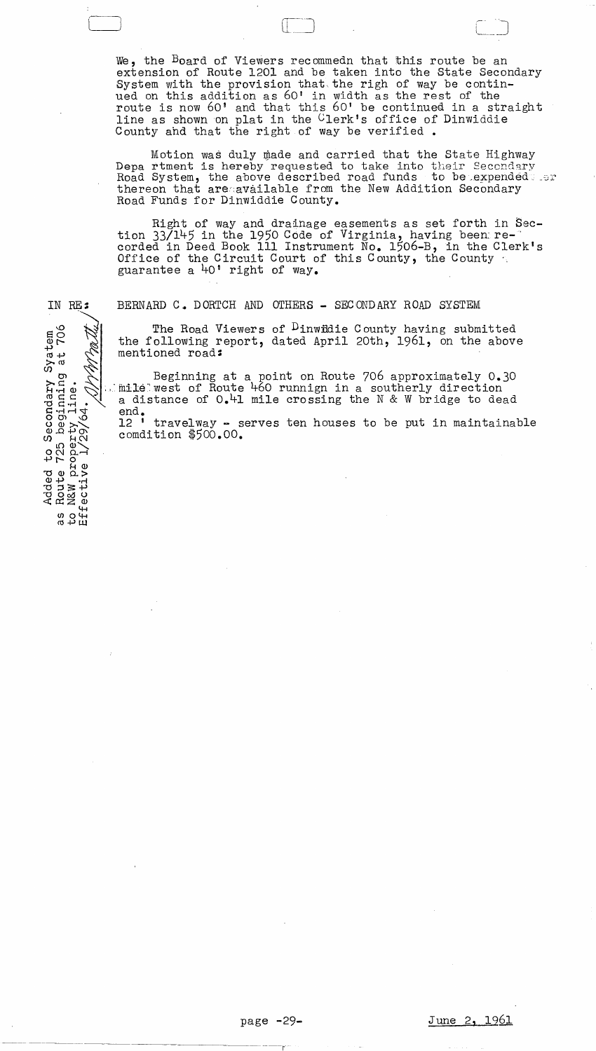We, the Board of Viewers recommedn that this route be an extension of Route 1201 and be taken into the State Secondary System with the provision that the righ of way be continued on this addition as 60' in width as the rest of the route is now 60' and that this 60' be continued in a straight line as shown on plat in the Clerk's office of Dinwiddie County and that the right of way be verified.

Motion was duly made and carried that the State Highway Depa rtment is hereby requested to take into their Secondary Road System, the above described road funds to be expended or thereon that are available from the New Addition Secondary Road Funds for Dinwiddie County.

Right of way and drainage easements as set forth in Section 33/145 in the 1950 Code of Virginia, having been re-<br>corded in Deed Book 111 Instrument No. 1506-B, in the Clerk's Office of the Circuit Court of this County, the County guarantee a 40' right of way.

IN RE:

BERNARD C. DORTCH AND OTHERS - SECONDARY ROAD SYSTEM

The Road Viewers of <sup>D</sup>inwidie County having submitted the following report, dated April 20th, 1961, on the above mentioned road:

Beginning at a point on Route 706 approximately 0.30 mile west of Route 460 runnign in a southerly direction a distance of 0.41 mile crossing the N & W bridge to dead end.

12 ' travelway - serves ten houses to be put in maintainable comdition \$500.00.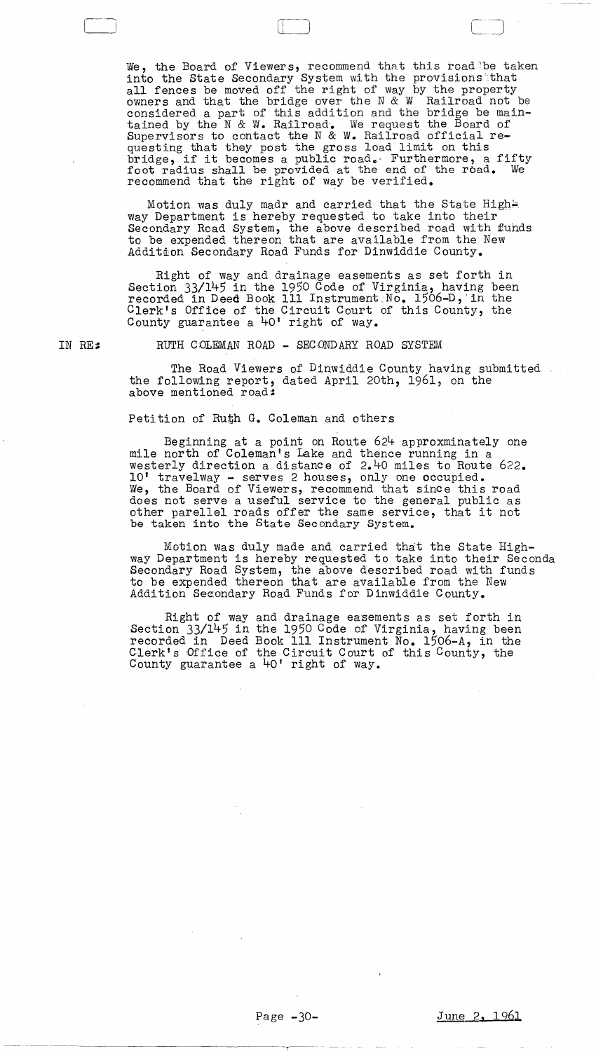We, the Board of Viewers, recommend that this roadde taken into the State Secondary System with the provisions that all fences be moved off the right of way by the property owners and that the bridge over the  $N \& W$  Railroad not be considered a part of this addition and the bridge be maintained by the N & W. Railroad. We request the Board of Supervisors to contact the N & W. Railroad official requesting that they post the gross load limit on this bridge, if it becomes a public road. Furthermore, a fifty foot radius shall be provided at the end of the road. We recommend that the right of way be verified.

Motion was duly madr and carried that the State Hight. way Department is hereby requested to take into their Secondary Road System, the above described road with fuhds to be expended thereon that are available from the New Addition Secondary Road Funds for Dinwiddie County.

Right of way and drainage easements as set forth in Section 33/145 in the 1950 Code of Virginia, having been recorded in Deed Book 111 Instrument  $No. 1506-D,$  in the Clerk's Office of the Circuit Court of this County, the County guarantee a 40' right of way.

IN RE:

Ci

RUTH COLEMAN ROAD - SECONDARY ROAD SYSTEM

The Road Viewers of Dinwiddie County having submitted the following report, dated April 20th, 1961, on the above mentioned road:

Petition of Ruth G. Coleman and others

Beginning at a point on Route 624 approxminately one mile north of Goleman's Lake and thence running in a westerly direction a distance of 2.40 miles to Route 622. 10' trave1way- serves 2 houses, only one occupied. We, the Board of Viewers, recommend that since this road does not serve a useful service to the general public as other parellel roads offer the same service, that it not be taken into the State Secondary System.

Motion Was duly made and carried that the State Highway Department is hereby requested to take into their Seconda Secondary Road System, the above described road with funds to be expended thereon that are available from the New Addition Seeondary Road Funds for Dinwiddie County.

Right of way and drainage easements as set forth in Section 33/145 in the 1950 Code of Virginia, having been recorded in Deed Book III Instrument No. 1506-A, in the Clerk's Dffice of the Circuit Court of this County, the County guarantee a 40' right of way.

--------------r-~-·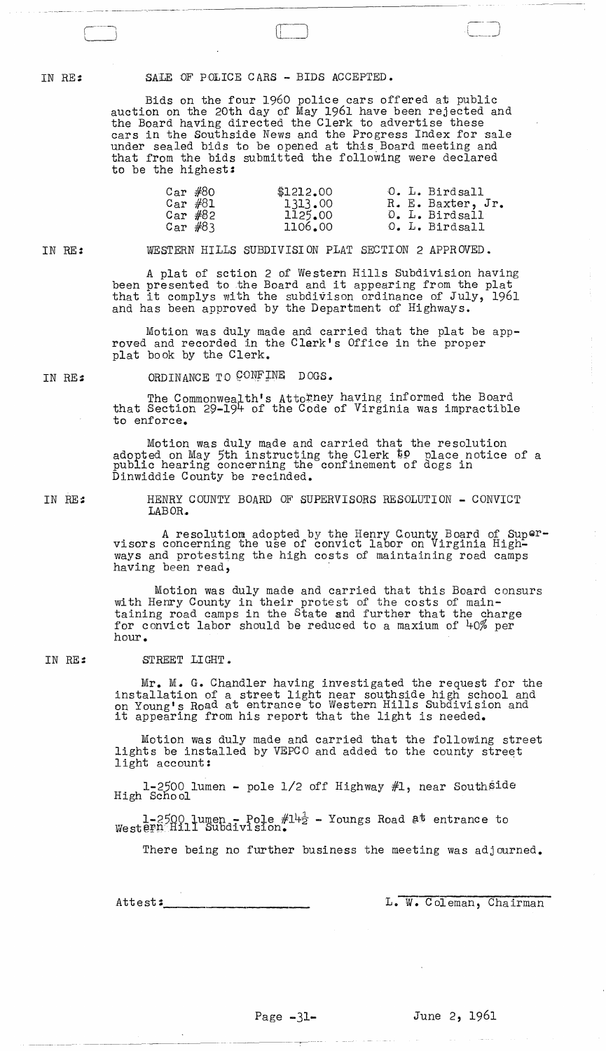IN RE::

#### SALE OF POLICE CARS - BIDS ACCEPTED.

Bids on the four 1960 police cars offered at public auction on the 20th day of May 1961 have been rejected and the Board having directed the Clerk to advertise these cars in the Southside News and the Progress Index for sale under sealed bids to be opened at this Board meeting and that from the bids submitted the following were declared to be the highest:

| Car $#80$   | \$1212.00 |  | O. L. Birdsall    |
|-------------|-----------|--|-------------------|
| $Car$ $#81$ | 1313.00   |  | R. E. Baxter, Jr. |
| Car $#82$   | 1125.00   |  | O. L. Birdsall    |
| Car $#83$   | 1106.00   |  | O. L. Birdsall    |

IN RE:

WESTERN HILLS SUBDIVISION PLAT SECTION 2 APPROVED.

A plat of sction 2 of Western Hills Subdivision having been presented to the Board and it appearing from the plat that it complys with the subdivison ordinance of July, 1961 and has been approved by the Department of Highways.

Motion was duly made and carried that the plat be approved and recorded in the Clerk's Office in the proper plat book by the Clerk.

IN RE::

ORDINANCE TO CONFINE DOGS.

The Commonwealth's Attorney having informed the Board that Section 29-194- of the Code of Virginia was impractible to enforce.

Motion was duly made and carried that the resolution adopted on May 5th instructing the Clerk to place notice of a adopted on may our insuracting the create of dogs in Dinwiddie County be recinded.

IN HE::

HENRY COUNTY BOARD OF SUPERVISORS RESOLUTION - CONVICT LABOR.

A resolutiom adopted by the Henry County Board of Supervisors concerning the use of convict labor on Virginia Highways and protesting the high costs of maintaining road camps having been read,

Motion was duly made and carried that this Board consurs with Henry County in their protest of the costs of maintaining road camps in the State and further that the charge for convict labor should be reduced to a maxium of 40% per hour.

#### IN RE: STREET LIGHT.

Mr. M. G. Chandler having investigated the request for the installation of a street light near southside high school and on Young's Road at entrance to Western Hills Subdivision and on roung's hoad at entrance to western hills Subdivished .

Motion was duly made and carried that the following street lights be installed by VEPCO and added to the county street light account:

 $1-2500$  lumen - pole  $1/2$  off Highway  $#1$ , near Southside High School

1-2500 lumen - Pole  $#14\frac{1}{2}$  - Youngs Road at entrance to West@rnMill Subdivision.

There being no further business the meeting was adjourned.

Attest: \_\_\_\_\_\_\_\_\_\_\_\_\_ , \_\_\_\_ \_\_ L. W. Coleman, Chairman

---~.---~-.~- -~~

 $\sim 10^{11}$  km s  $^{-1}$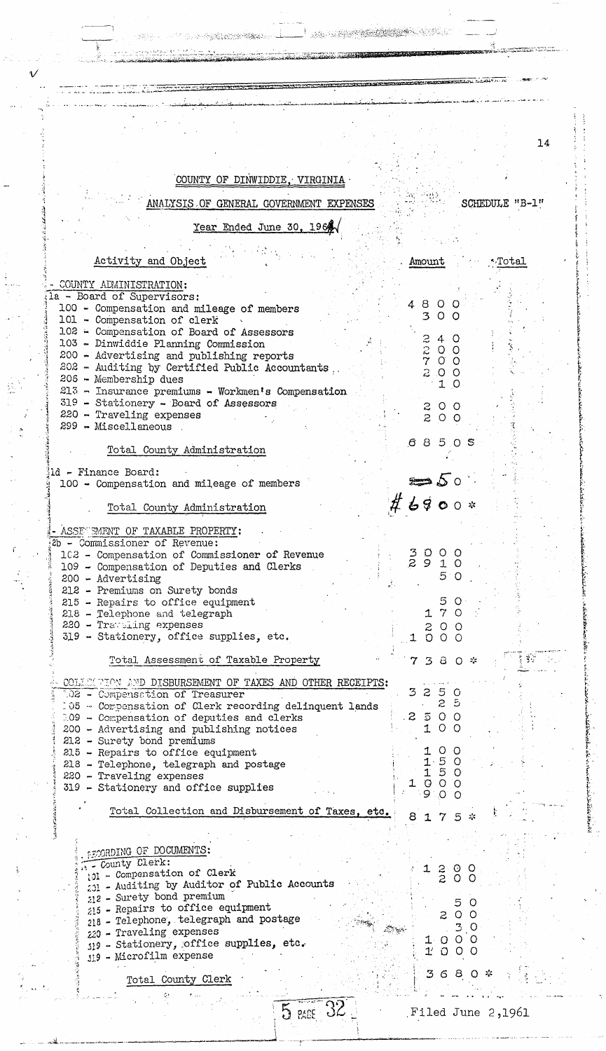a di seri di seri della provincia dell' The American Secretary of the Contract of the Contract of the Contract of the Contract of the Contract of the 14 COUNTY OF DINWIDDIE, VIRGINIA SCHEDULE "B-1" ANALYSIS OF GENERAL GOVERNMENT EXPENSES Year Ended June 30, 1964 Activity and Object Amount ∿Total COUNTY ADMINISTRATION: la - Board of Supervisors: 4800 100 - Compensation and mileage of members 300 101 - Compensation of clerk 102 - Compensation of Board of Assessors  $\mathfrak{S}$  $\overline{4}$ Ω 103 - Dinwiddie Planning Commission  $\frac{2}{7}$ O  $\circ$ 200 - Advertising and publishing reports  $\sigma$  $\circ$  $202$  - Auditing by Certified Public Accountants,  $\overline{z}$  $\circ$  $\circ$ 206 - Membership dues 1 O  $213$  - Insurance premiums - Workmen's Compensation 319 - Stationery - Board of Assessors 200 220 - Traveling expenses 200 299 - Miscellaneous  $685$ - O -S Total County Administration ld - Finance Board: 100 - Compensation and mileage of members  $\#$  6900  $*$ Total County Administration ASSE SMENT OF TAXABLE PROPERTY: 2b - Commissioner of Revenue:  $3000$ <br> $2910$ 102 - Compensation of Commissioner of Revenue 10 109 - Compensation of Deputies and Clerks 5  $\circ$ 200 - Advertising 212 - Premiums on Surety bonds 5  $215$  - Repairs to office equipment - 0 170 218 - Telephone and telegraph 220 - Traviling expenses  $200$ 319 - Stationery, office supplies, etc. 1000 Total Assessment of Taxable Property 7380\* COLLOGRAPHON AND DISBURSEMENT OF TAXES AND OTHER RECEIPTS: 250 3 102 - Compensation of Treasurer  $2<sub>5</sub>$  $105$  - Compensation of Clerk recording delinquent lands  $\mathcal{Z}_{\mathcal{C}}$  $500$ 109 - Compensation of deputies and clerks  $O$   $O$ 200 - Advertising and publishing notices 1 212 - Surety bond premiums  $0<sub>o</sub>$  $215$  - Repairs to office equipment 1  $1.50$ 218 - Telephone, telegraph and postage 50  $\mathbf{1}$ 220 - Traveling expenses  $000$ 1 319 - Stationery and office supplies 9  $\overline{C}$  $\circ$ Total Collection and Disbursement of Taxes, etc. 8175\* **PECORDING OF DOCUMENTS:** County Clerk: 101 - Compensation of Clerk  $\frac{5}{2}$ O  $\circ$ 201 - Auditing by Auditor of Public Accounts 212 - Surety bond premium 5 O 215 - Repairs to office equipment  $\circ$   $\circ$ z 218 - Telephone, telegraph and postage 3 O 220 - Traveling expenses 1000 319 - Stationery, office supplies, etc.  $1'$  $0,0,0$ 119 - Microfilm expense 36 -8 O Total County Clerk  $5$   $2405$ Filed June 2,1961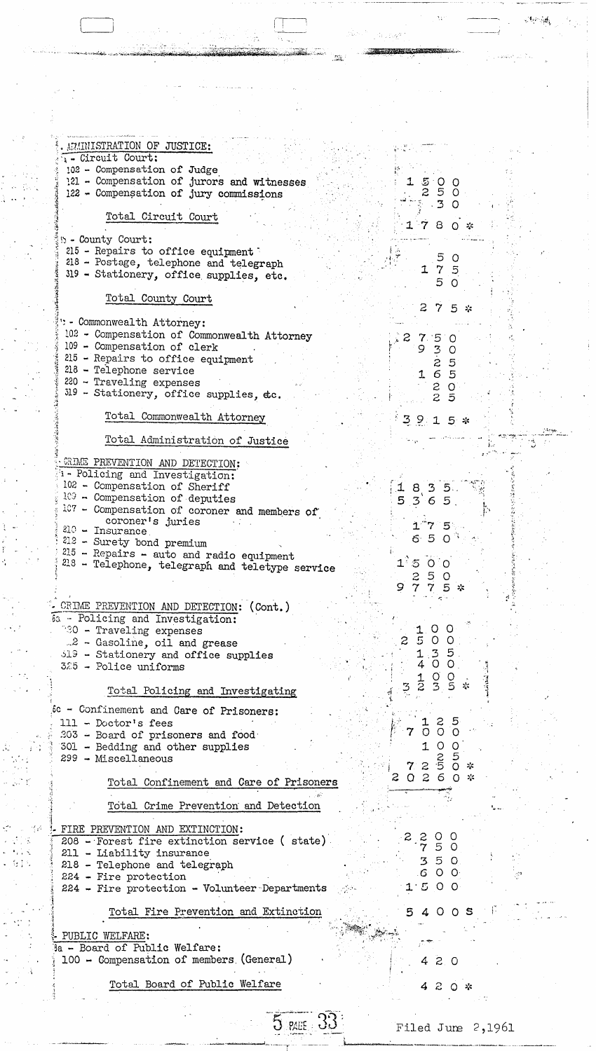ARMINISTRATION OF JUSTICE: : - Circuit Court: 102 - Compensation of Judge 121 - Compensation of jurors and witnesses  $15$ O O 5 122 - Compensation of jury commissions 2  $\circ$ 3  $\Omega$ Total Circuit Court 7  $\mathbf{B}$ 0 \* **B** - County Court: 215 - Repairs to office equipment 5 - 0 218 - Postage, telephone and telegraph  $\mathbf 7$ -5 I 319 - Stationery, office supplies, etc. 5  $\circ$ Total County Court 2 75\* : - Commonwealth Attorney: 102 - Compensation of Commonwealth Attorney  $\mathbf 7$ 5  $\Omega$ 109 - Compensation of clerk 9. 3  $\circ$  $215$  - Repairs to office equipment S 5  $218$  - Telephone service  $16$ -5  $220 - Treveling$  expenses  $\overline{z}$  $\circ$ 319 - Stationery, office supplies, dc.  $\mathbf{z}$ 5 Total Commonwealth Attorney  $3915*$ Total Administration of Justice GRIME PREVENTION AND DETECTION: <sup>1</sup> - Policing and Investigation: 102 - Compensation of Sheriff  $\mathbf{1}$ -8  $3-5.$  $109 -$  Compensation of deputies 5  $365$ 107 - Compensation of coroner and members of coroner's juries 7 5 210 - Insurance  $6.50$ 212 - Surety bond premium 215 - Repairs - auto and radio equipment 213 - Telephone, telegraph and teletype service  $\mathbf{1}^\mathbb{Z}$  $\mathfrak{S}$  $\circ$  $\circ$ 5 2 O 7 5 \* 9 7 . CRIME PREVENTION AND DETECTION: (Cont.) 6a - Policing and Investigation: 80 - Traveling expenses O O 1  $5\overline{5}$  $\circ$ 2  $\circ$  $.2$  - Gasoline, oil and grease 519 - Stationery and office supplies  $\cdot$ 3 5 1  $\overline{O}$  $\circ$ 4 325 - Police uniforms  $\frac{0}{3}$  $rac{1}{2}$  $\circ$ 5 3 Total Policing and Investigating (6c - Confinement and Care of Prisoners:  $111 - Doctor's fees$ 5  $\circ$  $\circ$ O 203 - Board of prisoners and food 1  $\circ$  $\circ$ 301 - Bedding and other supplies  $\ddot{5}$ 299 - Miscellaneous  $\boldsymbol{z}$ 7.  $\circ$  $\mathcal{L}$  $\mathbf{z}$ 2  $\circ$ 6 - 0 Total Confinement and Care of Prisoners Total Crime Prevention and Detection FIRE PREVENTION AND EXTINCTION:  $\frac{2}{7}$ 208 - Forest fire extinction service (state). 5  $\circ$ 211 - Liability insurance  $35$  $\circ$ 218 - Telephone and telegraph  $6$  O O 224 - Fire protection  $1.500$ 224 - Fire protection - Volunteer Departments Total Fire Prevention and Extinction 5400S PUBLIC WELFARE: **Ba - Board of Public Welfare:** 100 - Compensation of members (General) 4 2 0 Total Board of Public Welfare 420\*

Filed June 2,1961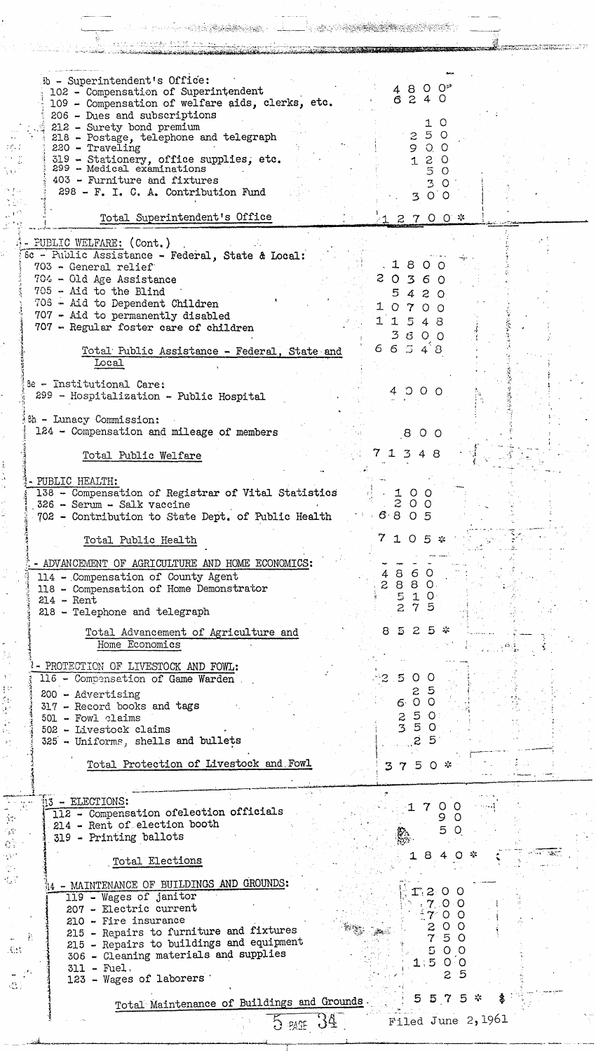| ib - Superintendent's Office:<br>102 - Compensation of Superintendent<br>109 - Compensation of welfare aids, clerks, etc.<br>206 - Dues and subscriptions<br>212 - Surety bond premium<br>218 - Postage, telephone and telegraph<br>$220 - Traveling$<br>319 - Stationery, office supplies, etc.<br>299 - Medical examinations<br>403 - Furniture and fixtures<br>298 - F. I. C. A. Contribution Fund<br>Total Superintendent's Office                                                                                                                                                           | <u>O</u><br>48<br>6240<br>O<br>5 0<br>9<br>$O_1$ $O_2$<br>$\mathcal{Z}^+$<br>$\circ$<br>1.<br>5<br>$\Omega$<br>3<br>$\Omega$<br>0 <sub>o</sub><br>3<br>$12700*$ |
|--------------------------------------------------------------------------------------------------------------------------------------------------------------------------------------------------------------------------------------------------------------------------------------------------------------------------------------------------------------------------------------------------------------------------------------------------------------------------------------------------------------------------------------------------------------------------------------------------|-----------------------------------------------------------------------------------------------------------------------------------------------------------------|
| - PUBLIC WELFARE: (Cont.)<br>8c - Public Assistance - Federal, State & Local:<br>703 - General relief<br>704 - Old Age Assistance<br>705 - Aid to the Blind<br>706 - Aid to Dependent Children<br>707 - Aid to permanently disabled<br>707 - Regular foster care of children                                                                                                                                                                                                                                                                                                                     | 8<br>$\mathbf{I}$<br>$\Omega$<br>20360<br>5<br>2<br>4<br>$\Omega$<br>$\Omega$<br>$\mathbf{7}$<br>11<br>5<br>48<br>$\mathcal{Z}$<br>600                          |
| Total Public Assistance - Federal, State and<br>Local<br>8e - Institutional Care:<br>299 - Hospitalization - Public Hospital<br><sup>3h</sup> - Lunacy Commission:<br>124 - Compensation and mileage of members                                                                                                                                                                                                                                                                                                                                                                                  | 66548<br>4 0 0 0<br>8<br>$\circ$<br>O                                                                                                                           |
| Total Public Welfare<br>- PUBLIC HEALTH:<br>138 - Compensation of Registrar of Vital Statistics<br>326 - Serum - Salk vaccine<br>702 - Contribution to State Dept. of Public Health                                                                                                                                                                                                                                                                                                                                                                                                              | 7 1 3 4 8<br>$\begin{array}{c} 100 \\ 200 \end{array}$<br>6805                                                                                                  |
| Total Public Health<br>- ADVANCEMENT OF AGRICULTURE AND HOME ECONOMICS:<br>114 - Compensation of County Agent<br>118 - Compensation of Home Demonstrator<br>$214$ - Rent<br>218 - Telephone and telegraph                                                                                                                                                                                                                                                                                                                                                                                        | $7105*$<br>4860<br>2880<br>5.10<br>75                                                                                                                           |
| Total Advancement of Agriculture and<br>Home Economics<br>- PROTECTION OF LIVESTOCK AND FOWL:<br>116 - Compensation of Game Warden<br>200 - Advertising<br>317 - Record books and tags<br>501 - Fowl claims<br>502 - Livestock claims                                                                                                                                                                                                                                                                                                                                                            | $525*$<br>8<br>$-1.6.5$<br>500<br>Z.<br>6.00<br>250<br>50<br>$\overline{3}$                                                                                     |
| 325 - Uniforms, shells and bullets<br>Total Protection of Livestock and Fowl<br>i3 - ELECTIONS:                                                                                                                                                                                                                                                                                                                                                                                                                                                                                                  | 25<br>$Q \approx$<br>375<br>$\circ$ $\circ$<br>17                                                                                                               |
| 112 - Compensation of election officials<br>57.<br>214 - Rent of election booth<br>319 - Printing ballots<br>Total Elections<br>- MAINTENANCE OF BUILDINGS AND GROUNDS:<br>119 - Wages of janitor<br>207 - Electric current<br>210 - Fire insurance<br>215 - Repairs to furniture and fixtures<br>Þ.<br>215 - Repairs to buildings and equipment<br>$\mathcal{A}_{\mathrm{max}}$<br>306 - Cleaning materials and supplies<br>$311 - \text{Fuel}.$<br>123 - Wages of laborers<br>$\left\langle \begin{array}{c} \mathcal{E}_{\mathcal{A}} \\ \mathcal{E}_{\mathcal{A}} \end{array} \right\rangle$ | 9<br>5.<br><b>Section</b><br>$O \times$<br>8<br>11200<br>7.00<br>$O$ $O$<br>- 0<br>50<br>0 <sub>o</sub><br>$O$ O<br>S,<br>-5                                    |
| Total Maintenance of Buildings and Grounds<br>$5$ PACE $34$                                                                                                                                                                                                                                                                                                                                                                                                                                                                                                                                      | 557<br>Filed June 2, 1961                                                                                                                                       |

 $\hat{\mathcal{A}}$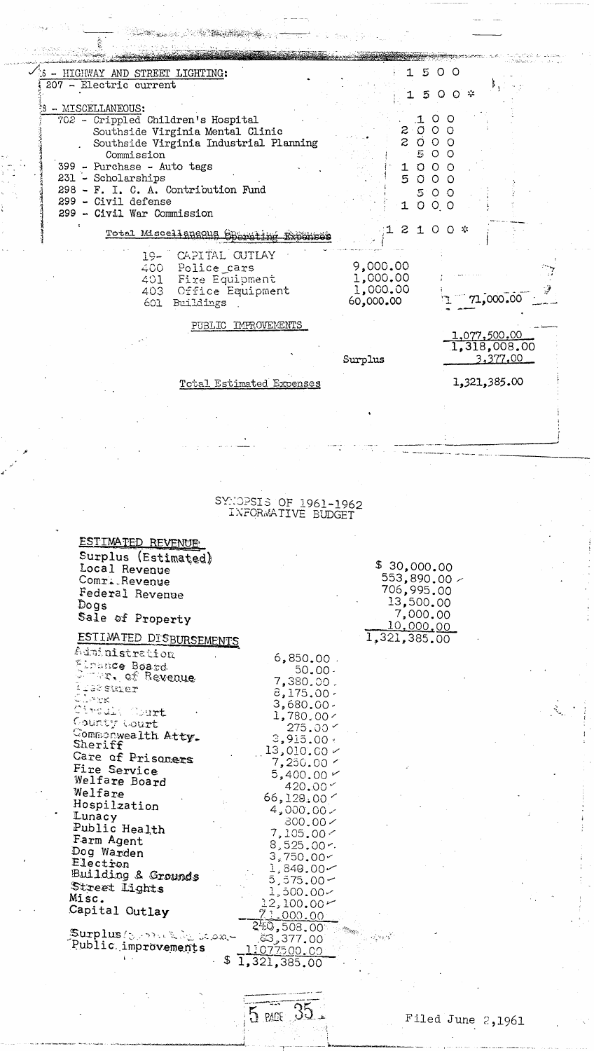|                                                                            |                                          |                                                 | 1500                     |  |
|----------------------------------------------------------------------------|------------------------------------------|-------------------------------------------------|--------------------------|--|
| - HIGHWAY AND STREET LIGHTING:<br>207 - Electric current                   |                                          |                                                 |                          |  |
| - MISCELLANEOUS:                                                           |                                          | 5                                               | $0$ 0 $*$                |  |
| 702 - Crippled Children's Hospital                                         |                                          | 2000                                            | .1 O O                   |  |
| Southside Virginia Mental Clinic<br>Southside Virginia Industrial Planning |                                          | 2000                                            |                          |  |
| Commission<br>399 - Purchase - Auto tags                                   |                                          |                                                 | 500<br>$O$ $O$ $O$       |  |
| 231 - Scholarships                                                         |                                          | 5000                                            |                          |  |
| 298 - F. I. C. A. Contribution Fund<br>299 - Civil defense                 |                                          |                                                 | 500                      |  |
| 299 - Civil War Commission                                                 |                                          | 1000                                            |                          |  |
| Total Miscellangous answ                                                   |                                          | $\mathcal{Z}$                                   | $100*$                   |  |
| CAPITAL OUTLAY<br>$19-$                                                    |                                          | 9,000.00                                        |                          |  |
| Police cars<br>400 -<br>Fire Equipment<br>401 -                            |                                          | 1,000.00                                        |                          |  |
| 403 -<br>601<br>Buildings                                                  | Office Equipment                         | 1,000.00<br>60,000.00                           | 71,000,00                |  |
|                                                                            |                                          |                                                 |                          |  |
|                                                                            | PUBLIC IMPROVEMENTS                      |                                                 | 1,077,500,00             |  |
|                                                                            |                                          | Surplus                                         | 1,318,008.00<br>3,377,00 |  |
|                                                                            |                                          |                                                 |                          |  |
|                                                                            | Total Estimated Expenses                 |                                                 | 1,321,385.00             |  |
|                                                                            |                                          |                                                 |                          |  |
|                                                                            |                                          |                                                 |                          |  |
|                                                                            |                                          |                                                 |                          |  |
|                                                                            |                                          |                                                 |                          |  |
|                                                                            |                                          |                                                 |                          |  |
|                                                                            | SYNOPSIS OF 1961-1962                    |                                                 |                          |  |
|                                                                            | INFORMATIVE BUDGET                       |                                                 |                          |  |
| ESTIMATED REVENUE                                                          |                                          |                                                 |                          |  |
| Surplus (Estimated)                                                        |                                          | \$30,000.00                                     |                          |  |
| Local Revenue<br>Comr. Revenue                                             |                                          | 553,890.00 $\times$                             |                          |  |
| Federal Revenue<br>Dogs                                                    |                                          | 706,995.00<br>13,500.00                         |                          |  |
| Sale of Property                                                           |                                          | 7,000.00                                        |                          |  |
| ESTIMATED DISBURSEMENTS                                                    |                                          | <u>10,000,00</u><br>$\overline{1}_*321_*385.00$ |                          |  |
| Administration                                                             | $6,850.00$ .                             |                                                 |                          |  |
| Firance Board<br>I was of Revenue                                          | $50.00 -$                                |                                                 |                          |  |
| t Teganiszer                                                               | 7,380.00.<br>$8,175.00 \cdot$            |                                                 |                          |  |
| Clerk<br>Circult Court                                                     | $3,680.00 -$<br>1,780,00/                |                                                 |                          |  |
| County Court<br>Commonwealth Atty.                                         | $275.00 \times$                          |                                                 |                          |  |
| Sheriff                                                                    | 3,915,00.<br>$13,010,00 \times$          |                                                 |                          |  |
| Care of Prisoners<br>Fire Service                                          | 7,250.00 r                               |                                                 |                          |  |
| Welfare Board                                                              | $5,400,00 \sim$<br>420.00 $\le$          |                                                 |                          |  |
| Welfare<br>Hospilzation                                                    | 66,128,00<br>$4,000.00 \times$           |                                                 |                          |  |
| Lunacy<br>Public Health                                                    | 300.00 <                                 |                                                 |                          |  |
| Farm Agent                                                                 | 7,105,00<<br>$8,525.00r$ .               |                                                 |                          |  |
|                                                                            | 3,750.00                                 |                                                 |                          |  |
| Dog Warden                                                                 |                                          |                                                 |                          |  |
| Electron<br>Building & Grounds                                             | $1,849.00 \sim$<br>$5,575.00\,\hbox{--}$ |                                                 |                          |  |
| Street Lights<br>Misc.                                                     | 1,500.00~                                |                                                 |                          |  |
| Capital Outlay                                                             | $12,100.00 \sim$<br><u>71.000.00</u>     |                                                 |                          |  |
| Surplus (3, marked to same                                                 | 240,508.00                               |                                                 |                          |  |
| Public improvements                                                        | టి, 377.00<br>11077500.00                |                                                 |                          |  |
| \$                                                                         | 1,321,385.00                             |                                                 |                          |  |
|                                                                            |                                          |                                                 |                          |  |

 $\begin{array}{c} \begin{array}{c} 1 \\ 1 \\ 2 \end{array} \\ \begin{array}{c} 1 \\ 1 \end{array} \\ \begin{array}{c} 1 \\ 2 \end{array} \\ \end{array}$ 

 $\frac{1}{2}$ 

 $\mathcal{F}(\mathbf{x})$ 

 $\frac{1}{5 \text{ arc}} 35$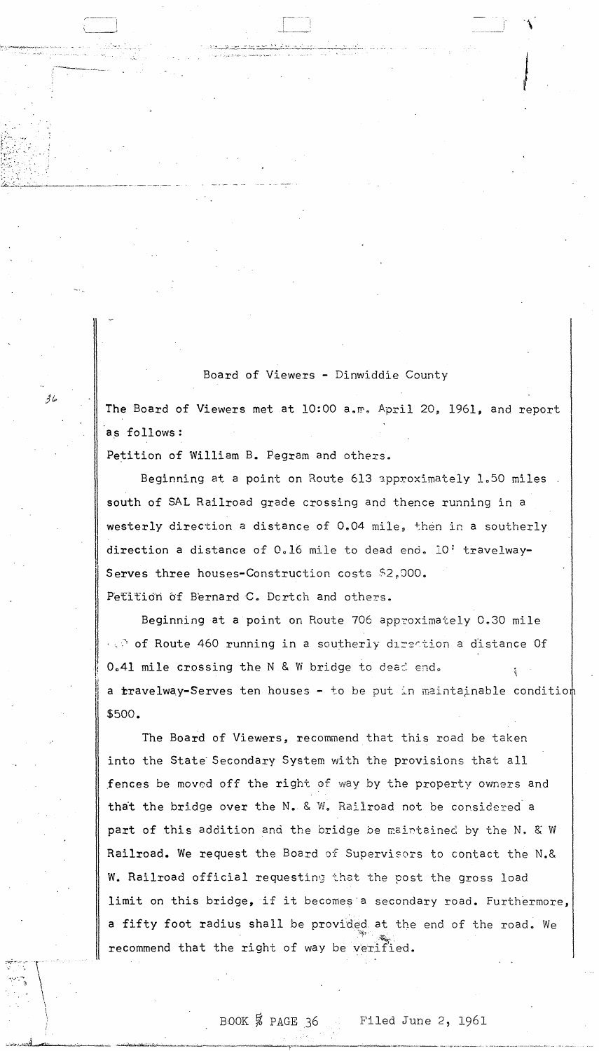Board of Viewers - Dinwiddie County

The Board of Viewers met at 10:00 a.m. April 20, 1961, and report as follows:

Petition of William B. Pegram and others.

حا ۋ

Beginning at a point on Route 613 approximately 1.50 miles south of SAL Railroad grade crossing and thence running in a westerly direction a distance of 0.04 mile, then in a southerly direction a distance of 0.16 mile to dead end. 10' travelway-Serves three houses-Construction costs \$2,000. Petition of Bernard C. Dortch and others.

Beginning at a point on Route 706 approximately 0.30 mile of Route 460 running in a southerly direction a distance Of 0.41 mile crossing the N & W bridge to dead end. a travelway-Serves ten houses - to be put in maintainable condition \$500.

The Board of Viewers, recommend that this road be taken into the State Secondary System with the provisions that all fences be moved off the right of way by the property owners and that the bridge over the N. & W. Railroad not be considered a part of this addition and the bridge be maintained by the N. & W Railroad. We request the Board of Supervisors to contact the N.& W. Railroad official requesting that the post the gross load limit on this bridge, if it becomes a secondary road. Furthermore, a fifty foot radius shall be provided at the end of the road. We recommend that the right of way be verified.

BOOK  $\frac{5}{8}$  PAGE 36

Filed June 2, 1961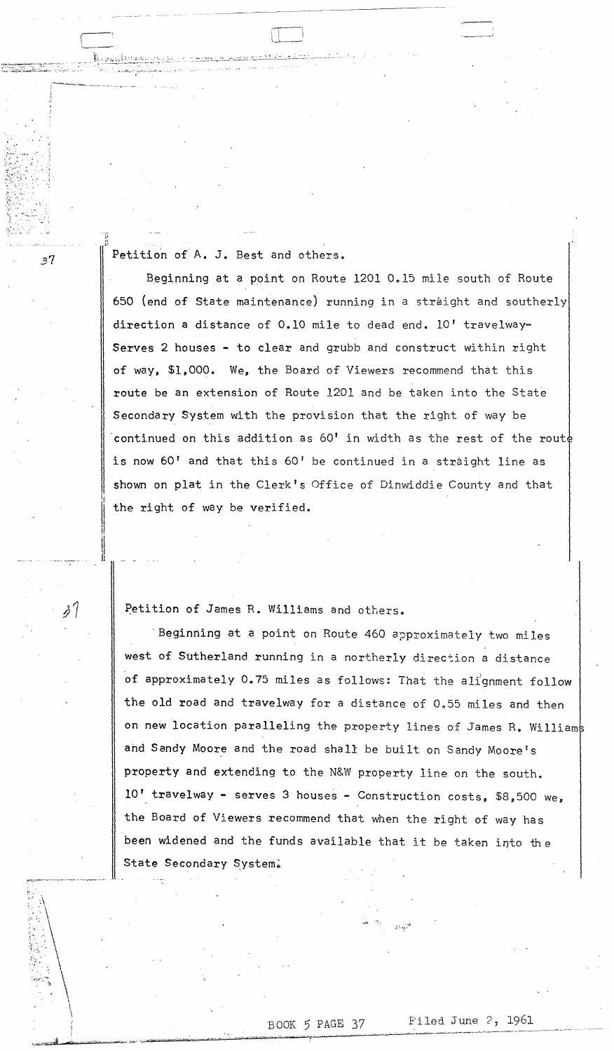Petition of A. J. Best and others.

 $\cdot$  ...  $\sim$  .  $\sim$   $\sim$   $\sim$  .

 $\frac{6}{1}$ .

 $37$ 

Beginning at a point on Route 1201 0.15 mile south of Route 650 (end of State maintenance) running in a straight and southerly direction a distance of 0.10 mile to dead end. 10' travelway-Serves 2 houses - to clear and grubb and construct within right of way, \$1,000. We, the Board of Viewers recommend that this route be an extension of Route 1201 and be taken into the State Secondary System with the provision that the right of way be 'continued on this addition as 60' in width as the rest of the rout is now 60' and that this 60' be continued in a straight line as shown on plat in the Clerk's Office of Dinwiddie County and that the right of way be verified.

Petition of James R. Williams and others.

II.

.!

II II

 $\mathcal{S}'$ 

Beginning at a point on Route 460 approximately two miles west of Sutherland running in a northerly direction a distance of approximately 0.75 miles as follows: That the alignment follow the old road and travelway for a distance of 0.55 miles and then on new location paralleling the property lines of James R. Williams ahd Sandy Moore and the road shall be built on Sandy Moore's property and extending to the N&W property line on the south. 10' travelway - serves 3 houses - Construction costs, *\$8 <sup>g</sup> 500* we, the Board of Viewers recommend that when the right of way has been widened and the funds available that it be taken into the State Secondary System.

# BOOK 5 PAGE 37

 $\Box$